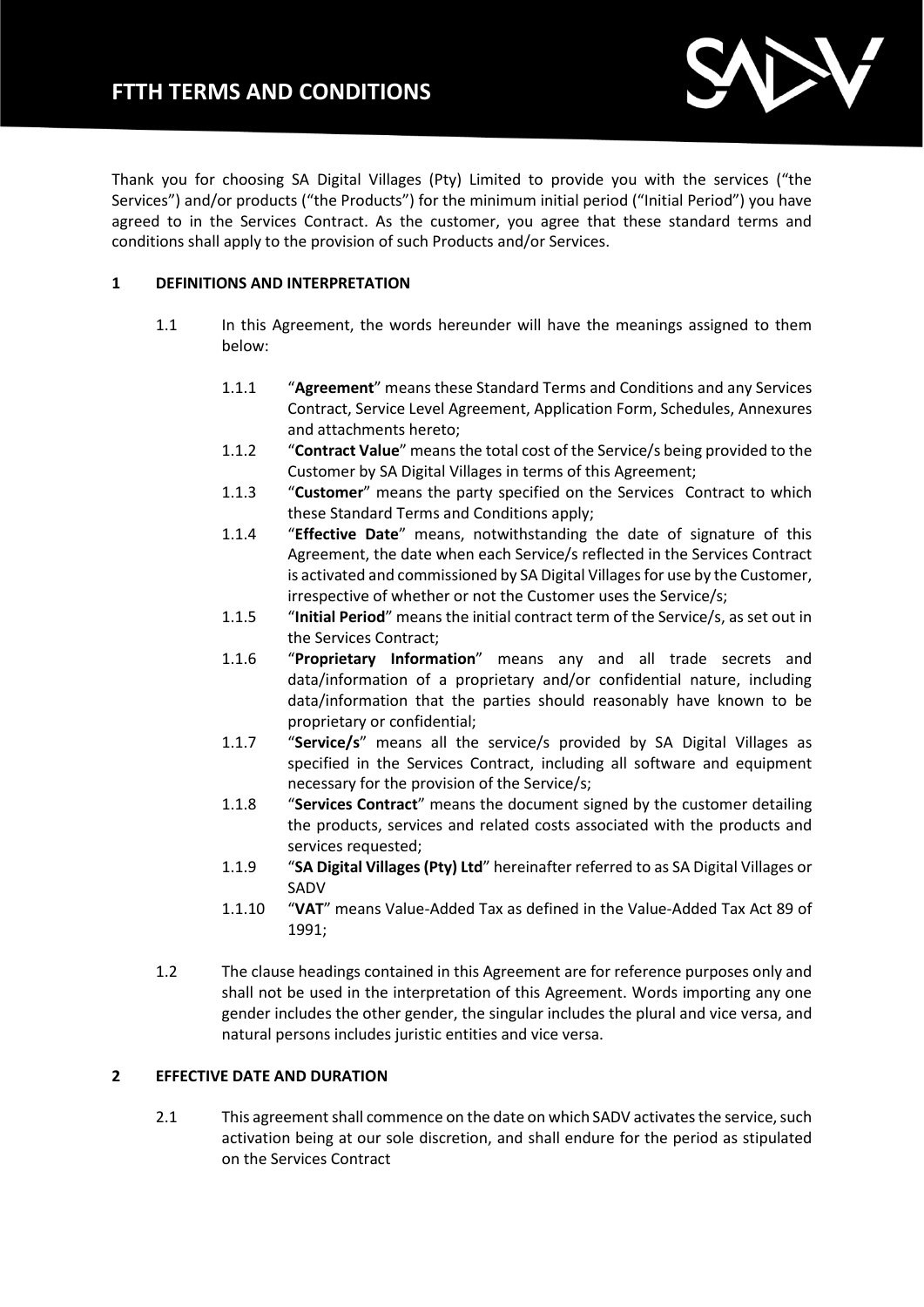# **FTTH TERMS AND CONDITIONS**



Thank you for choosing SA Digital Villages (Pty) Limited to provide you with the services ("the Services") and/or products ("the Products") for the minimum initial period ("Initial Period") you have agreed to in the Services Contract. As the customer, you agree that these standard terms and conditions shall apply to the provision of such Products and/or Services.

## **1 DEFINITIONS AND INTERPRETATION**

- 1.1 In this Agreement, the words hereunder will have the meanings assigned to them below:
	- 1.1.1 "**Agreement**" means these Standard Terms and Conditions and any Services Contract, Service Level Agreement, Application Form, Schedules, Annexures and attachments hereto;
	- 1.1.2 "**Contract Value**" means the total cost of the Service/s being provided to the Customer by SA Digital Villages in terms of this Agreement;
	- 1.1.3 "**Customer**" means the party specified on the Services Contract to which these Standard Terms and Conditions apply;
	- 1.1.4 "**Effective Date**" means, notwithstanding the date of signature of this Agreement, the date when each Service/s reflected in the Services Contract is activated and commissioned by SA Digital Villages for use by the Customer, irrespective of whether or not the Customer uses the Service/s;
	- 1.1.5 "**Initial Period**" means the initial contract term of the Service/s, as set out in the Services Contract;
	- 1.1.6 "**Proprietary Information**" means any and all trade secrets and data/information of a proprietary and/or confidential nature, including data/information that the parties should reasonably have known to be proprietary or confidential;
	- 1.1.7 "**Service/s**" means all the service/s provided by SA Digital Villages as specified in the Services Contract, including all software and equipment necessary for the provision of the Service/s;
	- 1.1.8 "**Services Contract**" means the document signed by the customer detailing the products, services and related costs associated with the products and services requested;
	- 1.1.9 "**SA Digital Villages (Pty) Ltd**" hereinafter referred to as SA Digital Villages or SADV
	- 1.1.10 "**VAT**" means Value-Added Tax as defined in the Value-Added Tax Act 89 of 1991;
- 1.2 The clause headings contained in this Agreement are for reference purposes only and shall not be used in the interpretation of this Agreement. Words importing any one gender includes the other gender, the singular includes the plural and vice versa, and natural persons includes juristic entities and vice versa.

# **2 EFFECTIVE DATE AND DURATION**

2.1 This agreement shall commence on the date on which SADV activates the service, such activation being at our sole discretion, and shall endure for the period as stipulated on the Services Contract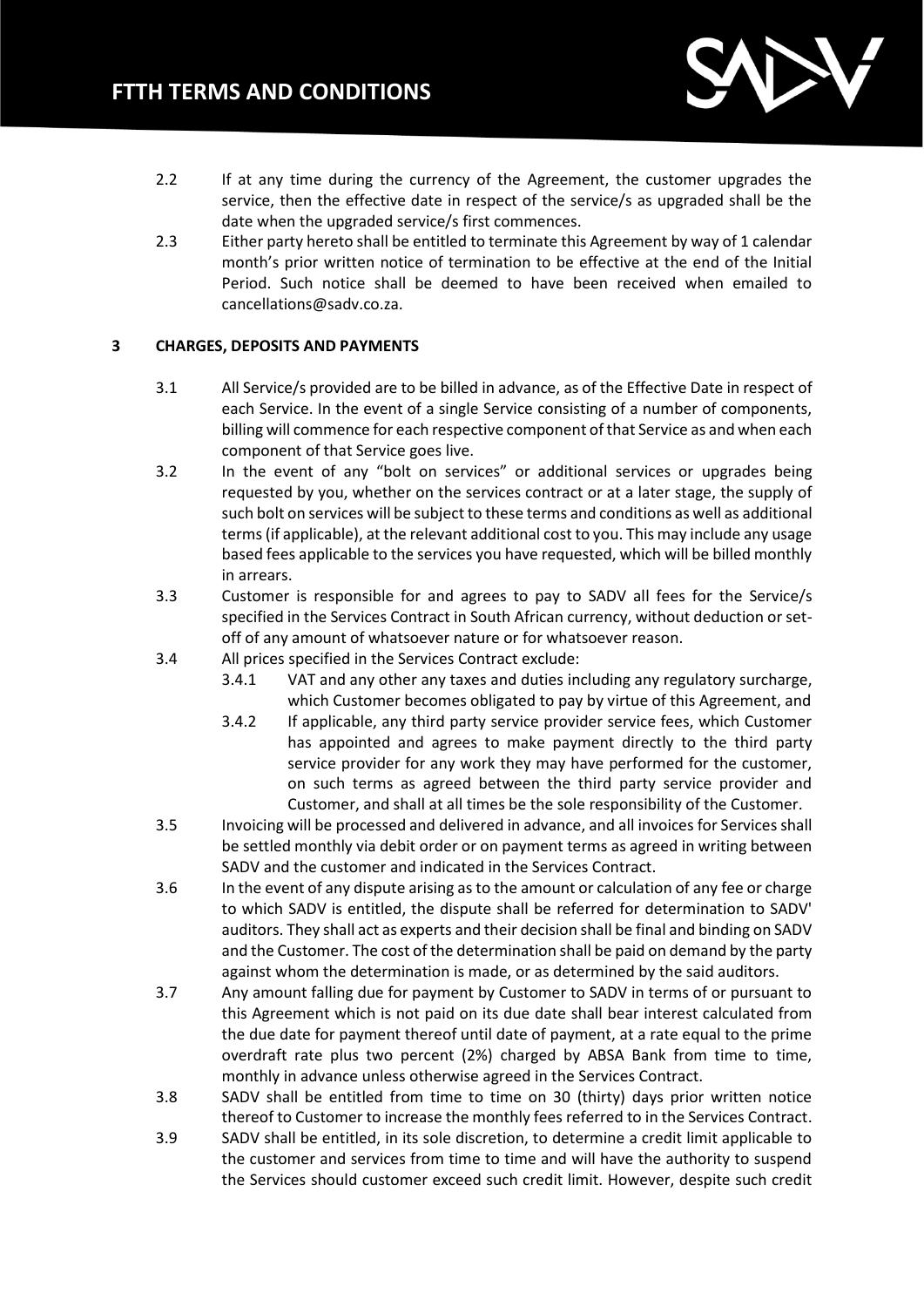

- 2.2 If at any time during the currency of the Agreement, the customer upgrades the service, then the effective date in respect of the service/s as upgraded shall be the date when the upgraded service/s first commences.
- 2.3 Either party hereto shall be entitled to terminate this Agreement by way of 1 calendar month's prior written notice of termination to be effective at the end of the Initial Period. Such notice shall be deemed to have been received when emailed to cancellations@sadv.co.za.

# **3 CHARGES, DEPOSITS AND PAYMENTS**

- 3.1 All Service/s provided are to be billed in advance, as of the Effective Date in respect of each Service. In the event of a single Service consisting of a number of components, billing will commence for each respective component of that Service as and when each component of that Service goes live.
- 3.2 In the event of any "bolt on services" or additional services or upgrades being requested by you, whether on the services contract or at a later stage, the supply of such bolt on services will be subject to these terms and conditions as well as additional terms (if applicable), at the relevant additional cost to you. This may include any usage based fees applicable to the services you have requested, which will be billed monthly in arrears.
- 3.3 Customer is responsible for and agrees to pay to SADV all fees for the Service/s specified in the Services Contract in South African currency, without deduction or setoff of any amount of whatsoever nature or for whatsoever reason.
- 3.4 All prices specified in the Services Contract exclude:
	- 3.4.1 VAT and any other any taxes and duties including any regulatory surcharge, which Customer becomes obligated to pay by virtue of this Agreement, and
	- 3.4.2 If applicable, any third party service provider service fees, which Customer has appointed and agrees to make payment directly to the third party service provider for any work they may have performed for the customer, on such terms as agreed between the third party service provider and Customer, and shall at all times be the sole responsibility of the Customer.
- 3.5 Invoicing will be processed and delivered in advance, and all invoices for Services shall be settled monthly via debit order or on payment terms as agreed in writing between SADV and the customer and indicated in the Services Contract.
- 3.6 In the event of any dispute arising as to the amount or calculation of any fee or charge to which SADV is entitled, the dispute shall be referred for determination to SADV' auditors. They shall act as experts and their decision shall be final and binding on SADV and the Customer. The cost of the determination shall be paid on demand by the party against whom the determination is made, or as determined by the said auditors.
- 3.7 Any amount falling due for payment by Customer to SADV in terms of or pursuant to this Agreement which is not paid on its due date shall bear interest calculated from the due date for payment thereof until date of payment, at a rate equal to the prime overdraft rate plus two percent (2%) charged by ABSA Bank from time to time, monthly in advance unless otherwise agreed in the Services Contract.
- 3.8 SADV shall be entitled from time to time on 30 (thirty) days prior written notice thereof to Customer to increase the monthly fees referred to in the Services Contract.
- 3.9 SADV shall be entitled, in its sole discretion, to determine a credit limit applicable to the customer and services from time to time and will have the authority to suspend the Services should customer exceed such credit limit. However, despite such credit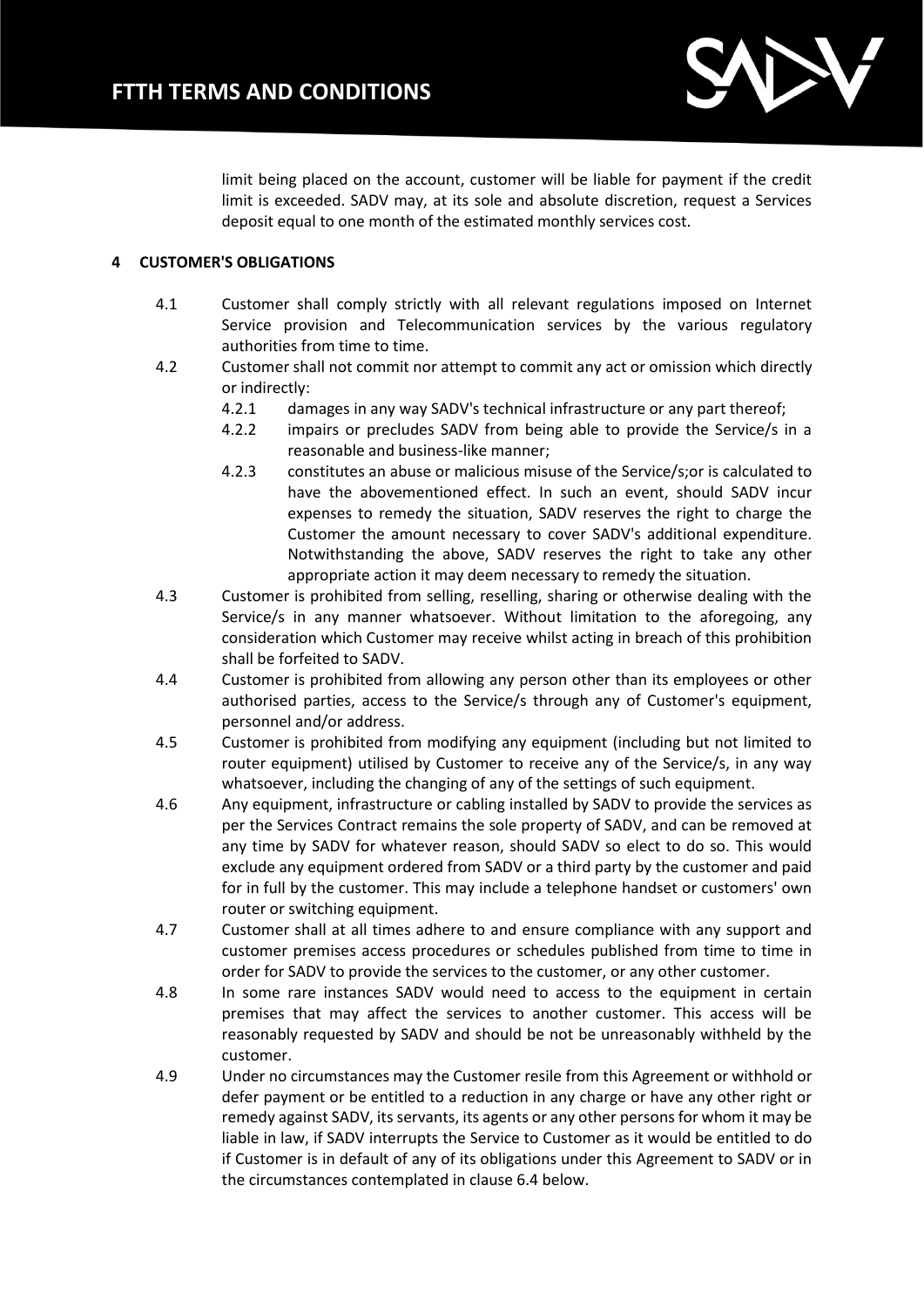

limit being placed on the account, customer will be liable for payment if the credit limit is exceeded. SADV may, at its sole and absolute discretion, request a Services deposit equal to one month of the estimated monthly services cost.

# **4 CUSTOMER'S OBLIGATIONS**

- 4.1 Customer shall comply strictly with all relevant regulations imposed on Internet Service provision and Telecommunication services by the various regulatory authorities from time to time.
- 4.2 Customer shall not commit nor attempt to commit any act or omission which directly or indirectly:
	- 4.2.1 damages in any way SADV's technical infrastructure or any part thereof;
	- 4.2.2 impairs or precludes SADV from being able to provide the Service/s in a reasonable and business-like manner;
	- 4.2.3 constitutes an abuse or malicious misuse of the Service/s;or is calculated to have the abovementioned effect. In such an event, should SADV incur expenses to remedy the situation, SADV reserves the right to charge the Customer the amount necessary to cover SADV's additional expenditure. Notwithstanding the above, SADV reserves the right to take any other appropriate action it may deem necessary to remedy the situation.
- 4.3 Customer is prohibited from selling, reselling, sharing or otherwise dealing with the Service/s in any manner whatsoever. Without limitation to the aforegoing, any consideration which Customer may receive whilst acting in breach of this prohibition shall be forfeited to SADV.
- 4.4 Customer is prohibited from allowing any person other than its employees or other authorised parties, access to the Service/s through any of Customer's equipment, personnel and/or address.
- 4.5 Customer is prohibited from modifying any equipment (including but not limited to router equipment) utilised by Customer to receive any of the Service/s, in any way whatsoever, including the changing of any of the settings of such equipment.
- 4.6 Any equipment, infrastructure or cabling installed by SADV to provide the services as per the Services Contract remains the sole property of SADV, and can be removed at any time by SADV for whatever reason, should SADV so elect to do so. This would exclude any equipment ordered from SADV or a third party by the customer and paid for in full by the customer. This may include a telephone handset or customers' own router or switching equipment.
- 4.7 Customer shall at all times adhere to and ensure compliance with any support and customer premises access procedures or schedules published from time to time in order for SADV to provide the services to the customer, or any other customer.
- 4.8 In some rare instances SADV would need to access to the equipment in certain premises that may affect the services to another customer. This access will be reasonably requested by SADV and should be not be unreasonably withheld by the customer.
- 4.9 Under no circumstances may the Customer resile from this Agreement or withhold or defer payment or be entitled to a reduction in any charge or have any other right or remedy against SADV, its servants, its agents or any other persons for whom it may be liable in law, if SADV interrupts the Service to Customer as it would be entitled to do if Customer is in default of any of its obligations under this Agreement to SADV or in the circumstances contemplated in clause 6.4 below.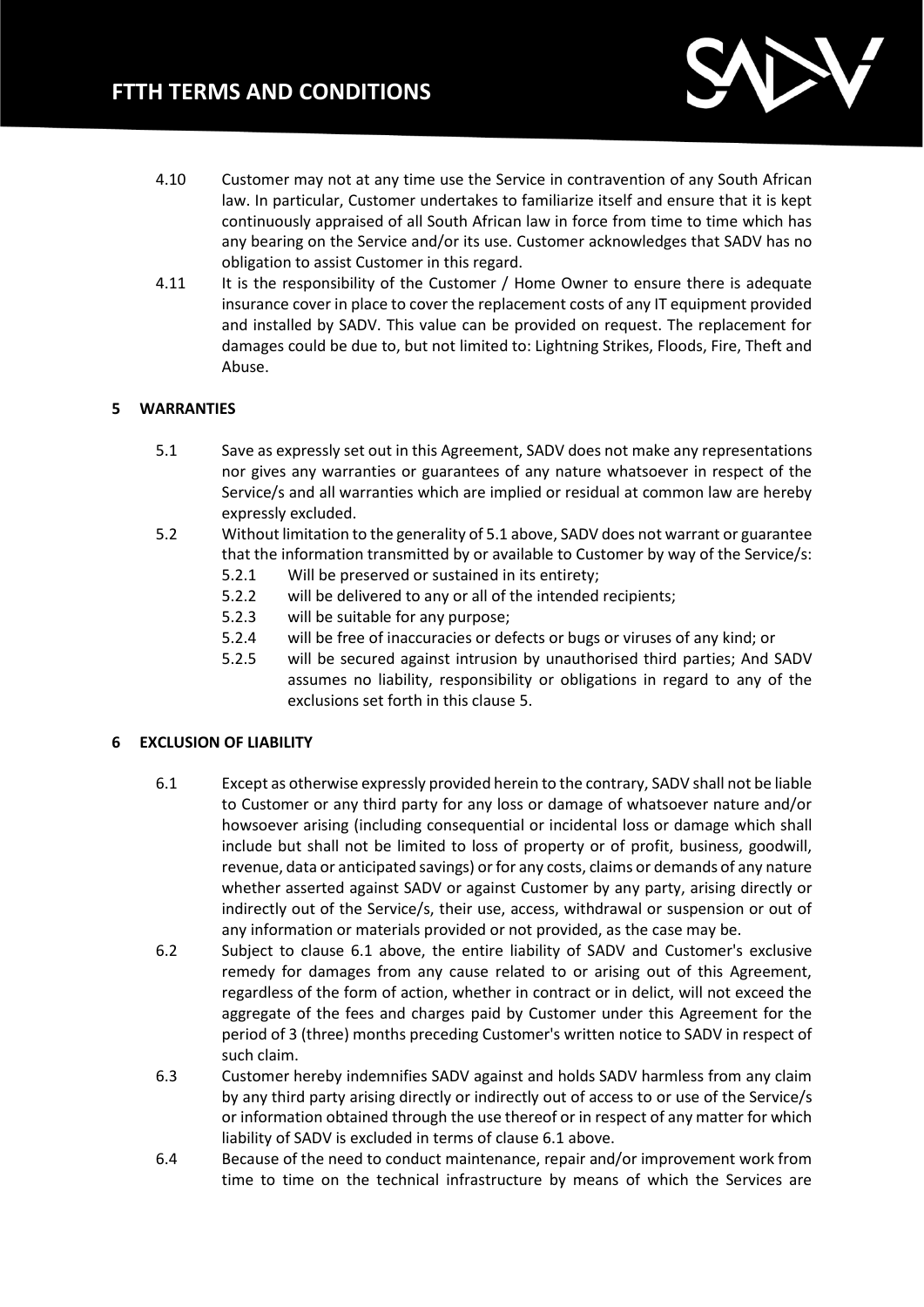

- 4.10 Customer may not at any time use the Service in contravention of any South African law. In particular, Customer undertakes to familiarize itself and ensure that it is kept continuously appraised of all South African law in force from time to time which has any bearing on the Service and/or its use. Customer acknowledges that SADV has no obligation to assist Customer in this regard.
- 4.11 It is the responsibility of the Customer / Home Owner to ensure there is adequate insurance cover in place to cover the replacement costs of any IT equipment provided and installed by SADV. This value can be provided on request. The replacement for damages could be due to, but not limited to: Lightning Strikes, Floods, Fire, Theft and Abuse.

# **5 WARRANTIES**

- 5.1 Save as expressly set out in this Agreement, SADV does not make any representations nor gives any warranties or guarantees of any nature whatsoever in respect of the Service/s and all warranties which are implied or residual at common law are hereby expressly excluded.
- 5.2 Without limitation to the generality of 5.1 above, SADV does not warrant or guarantee that the information transmitted by or available to Customer by way of the Service/s:
	- 5.2.1 Will be preserved or sustained in its entirety;
	- 5.2.2 will be delivered to any or all of the intended recipients;
	- 5.2.3 will be suitable for any purpose;
	- 5.2.4 will be free of inaccuracies or defects or bugs or viruses of any kind; or
	- 5.2.5 will be secured against intrusion by unauthorised third parties; And SADV assumes no liability, responsibility or obligations in regard to any of the exclusions set forth in this clause 5.

#### **6 EXCLUSION OF LIABILITY**

- 6.1 Except as otherwise expressly provided herein to the contrary, SADV shall not be liable to Customer or any third party for any loss or damage of whatsoever nature and/or howsoever arising (including consequential or incidental loss or damage which shall include but shall not be limited to loss of property or of profit, business, goodwill, revenue, data or anticipated savings) or for any costs, claims or demands of any nature whether asserted against SADV or against Customer by any party, arising directly or indirectly out of the Service/s, their use, access, withdrawal or suspension or out of any information or materials provided or not provided, as the case may be.
- 6.2 Subject to clause 6.1 above, the entire liability of SADV and Customer's exclusive remedy for damages from any cause related to or arising out of this Agreement, regardless of the form of action, whether in contract or in delict, will not exceed the aggregate of the fees and charges paid by Customer under this Agreement for the period of 3 (three) months preceding Customer's written notice to SADV in respect of such claim.
- 6.3 Customer hereby indemnifies SADV against and holds SADV harmless from any claim by any third party arising directly or indirectly out of access to or use of the Service/s or information obtained through the use thereof or in respect of any matter for which liability of SADV is excluded in terms of clause 6.1 above.
- 6.4 Because of the need to conduct maintenance, repair and/or improvement work from time to time on the technical infrastructure by means of which the Services are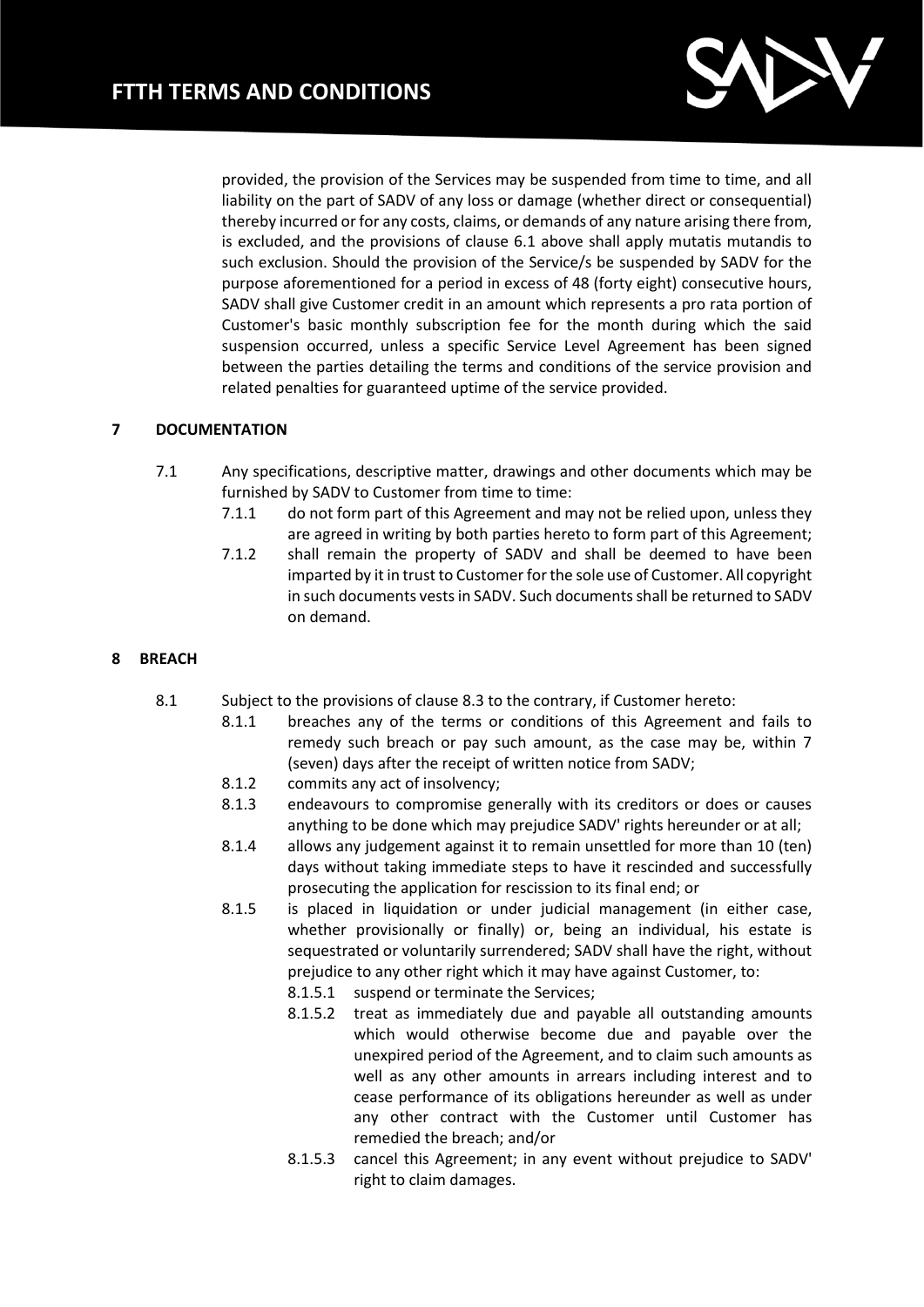

provided, the provision of the Services may be suspended from time to time, and all liability on the part of SADV of any loss or damage (whether direct or consequential) thereby incurred or for any costs, claims, or demands of any nature arising there from, is excluded, and the provisions of clause 6.1 above shall apply mutatis mutandis to such exclusion. Should the provision of the Service/s be suspended by SADV for the purpose aforementioned for a period in excess of 48 (forty eight) consecutive hours, SADV shall give Customer credit in an amount which represents a pro rata portion of Customer's basic monthly subscription fee for the month during which the said suspension occurred, unless a specific Service Level Agreement has been signed between the parties detailing the terms and conditions of the service provision and related penalties for guaranteed uptime of the service provided.

# **7 DOCUMENTATION**

- 7.1 Any specifications, descriptive matter, drawings and other documents which may be furnished by SADV to Customer from time to time:
	- 7.1.1 do not form part of this Agreement and may not be relied upon, unless they are agreed in writing by both parties hereto to form part of this Agreement;
	- 7.1.2 shall remain the property of SADV and shall be deemed to have been imparted by it in trust to Customer for the sole use of Customer. All copyright in such documents vests in SADV. Such documents shall be returned to SADV on demand.

# **8 BREACH**

- 8.1 Subject to the provisions of clause 8.3 to the contrary, if Customer hereto:
	- 8.1.1 breaches any of the terms or conditions of this Agreement and fails to remedy such breach or pay such amount, as the case may be, within 7 (seven) days after the receipt of written notice from SADV;
	- 8.1.2 commits any act of insolvency;
	- 8.1.3 endeavours to compromise generally with its creditors or does or causes anything to be done which may prejudice SADV' rights hereunder or at all;
	- 8.1.4 allows any judgement against it to remain unsettled for more than 10 (ten) days without taking immediate steps to have it rescinded and successfully prosecuting the application for rescission to its final end; or
	- 8.1.5 is placed in liquidation or under judicial management (in either case, whether provisionally or finally) or, being an individual, his estate is sequestrated or voluntarily surrendered; SADV shall have the right, without prejudice to any other right which it may have against Customer, to:
		- 8.1.5.1 suspend or terminate the Services;
		- 8.1.5.2 treat as immediately due and payable all outstanding amounts which would otherwise become due and payable over the unexpired period of the Agreement, and to claim such amounts as well as any other amounts in arrears including interest and to cease performance of its obligations hereunder as well as under any other contract with the Customer until Customer has remedied the breach; and/or
		- 8.1.5.3 cancel this Agreement; in any event without prejudice to SADV' right to claim damages.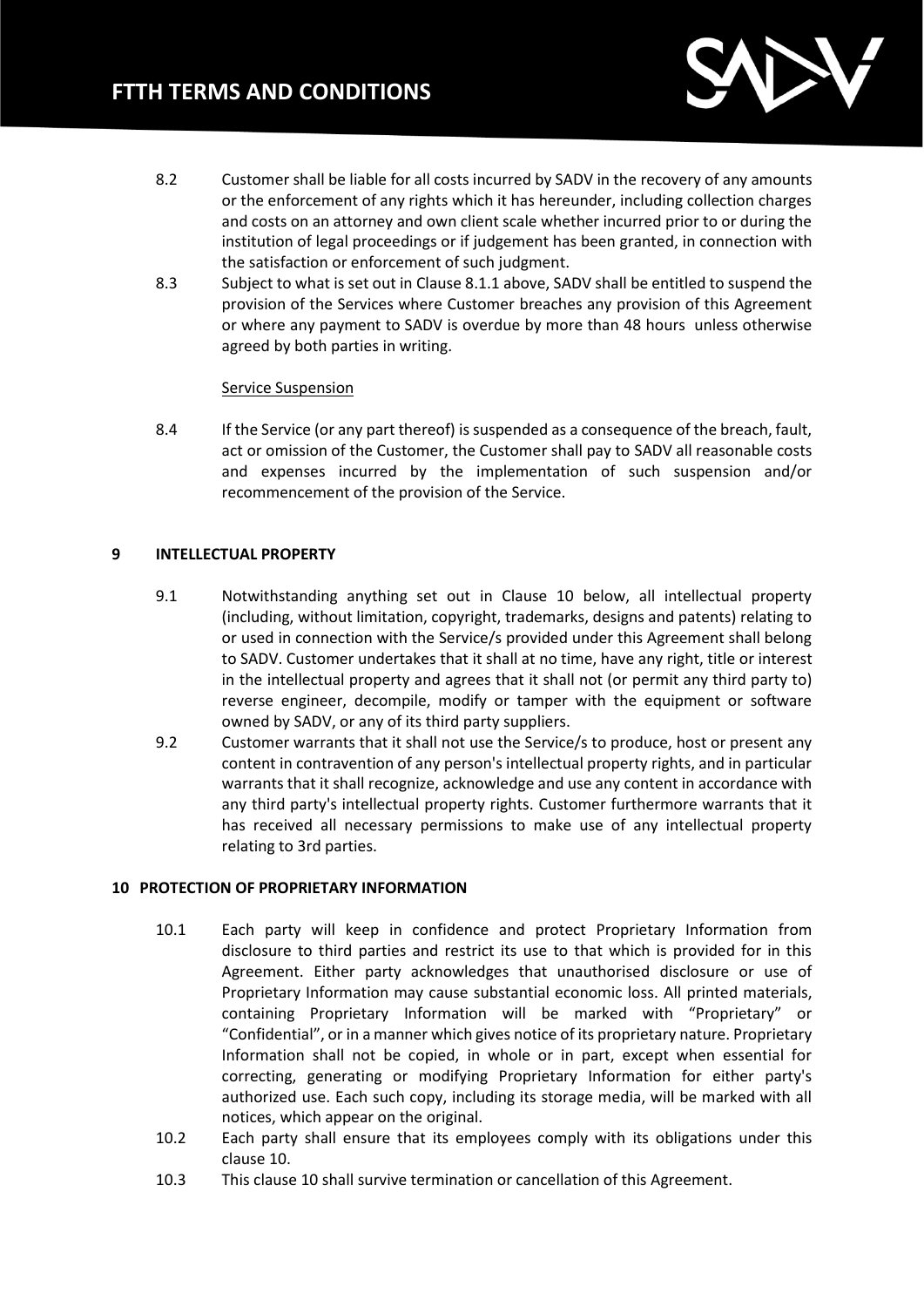

- 8.2 Customer shall be liable for all costs incurred by SADV in the recovery of any amounts or the enforcement of any rights which it has hereunder, including collection charges and costs on an attorney and own client scale whether incurred prior to or during the institution of legal proceedings or if judgement has been granted, in connection with the satisfaction or enforcement of such judgment.
- 8.3 Subject to what is set out in Clause 8.1.1 above, SADV shall be entitled to suspend the provision of the Services where Customer breaches any provision of this Agreement or where any payment to SADV is overdue by more than 48 hours unless otherwise agreed by both parties in writing.

#### Service Suspension

8.4 If the Service (or any part thereof) is suspended as a consequence of the breach, fault, act or omission of the Customer, the Customer shall pay to SADV all reasonable costs and expenses incurred by the implementation of such suspension and/or recommencement of the provision of the Service.

# **9 INTELLECTUAL PROPERTY**

- 9.1 Notwithstanding anything set out in Clause 10 below, all intellectual property (including, without limitation, copyright, trademarks, designs and patents) relating to or used in connection with the Service/s provided under this Agreement shall belong to SADV. Customer undertakes that it shall at no time, have any right, title or interest in the intellectual property and agrees that it shall not (or permit any third party to) reverse engineer, decompile, modify or tamper with the equipment or software owned by SADV, or any of its third party suppliers.
- 9.2 Customer warrants that it shall not use the Service/s to produce, host or present any content in contravention of any person's intellectual property rights, and in particular warrants that it shall recognize, acknowledge and use any content in accordance with any third party's intellectual property rights. Customer furthermore warrants that it has received all necessary permissions to make use of any intellectual property relating to 3rd parties.

#### **10 PROTECTION OF PROPRIETARY INFORMATION**

- 10.1 Each party will keep in confidence and protect Proprietary Information from disclosure to third parties and restrict its use to that which is provided for in this Agreement. Either party acknowledges that unauthorised disclosure or use of Proprietary Information may cause substantial economic loss. All printed materials, containing Proprietary Information will be marked with "Proprietary" or "Confidential", or in a manner which gives notice of its proprietary nature. Proprietary Information shall not be copied, in whole or in part, except when essential for correcting, generating or modifying Proprietary Information for either party's authorized use. Each such copy, including its storage media, will be marked with all notices, which appear on the original.
- 10.2 Each party shall ensure that its employees comply with its obligations under this clause 10.
- 10.3 This clause 10 shall survive termination or cancellation of this Agreement.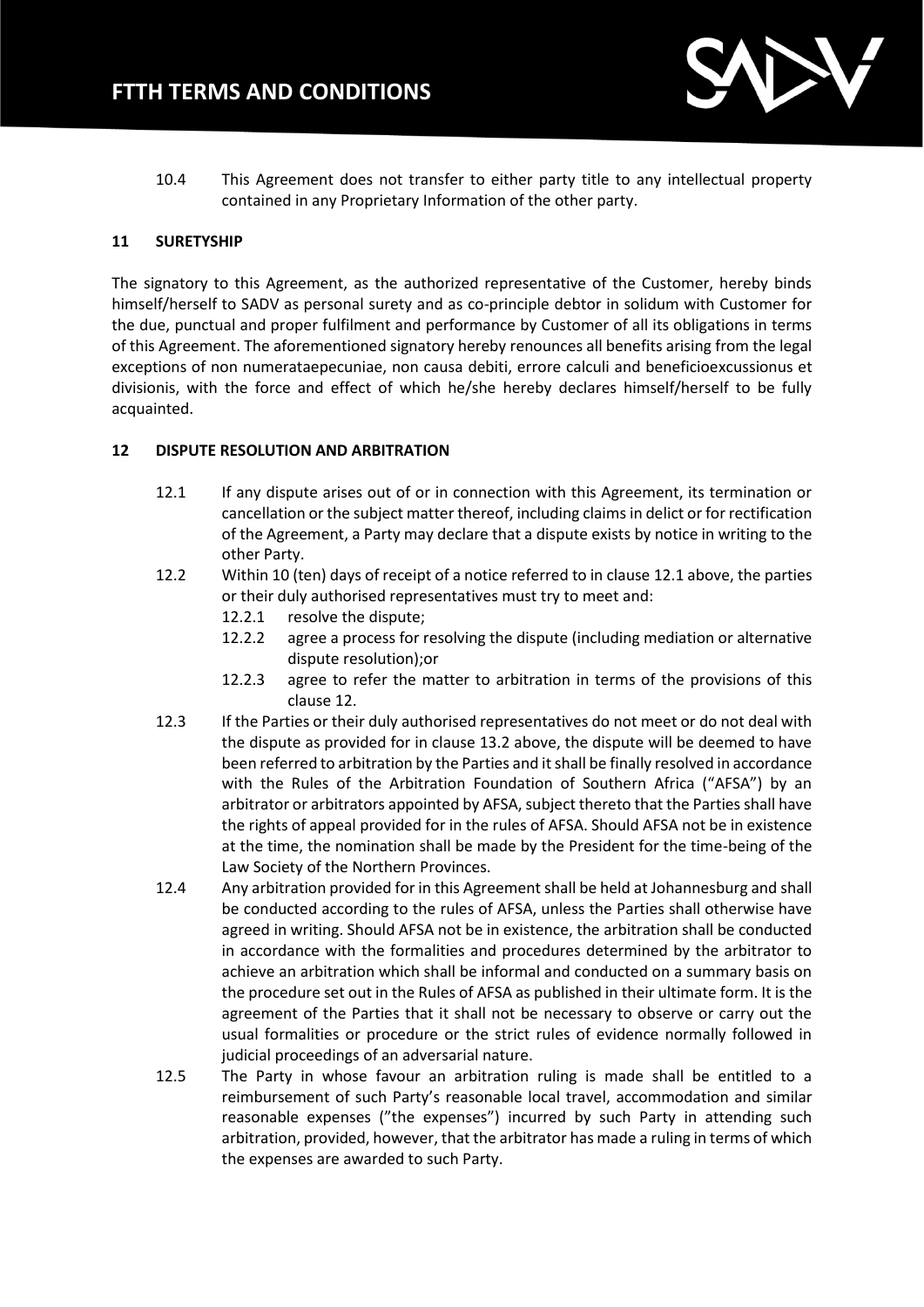

10.4 This Agreement does not transfer to either party title to any intellectual property contained in any Proprietary Information of the other party.

## **11 SURETYSHIP**

The signatory to this Agreement, as the authorized representative of the Customer, hereby binds himself/herself to SADV as personal surety and as co-principle debtor in solidum with Customer for the due, punctual and proper fulfilment and performance by Customer of all its obligations in terms of this Agreement. The aforementioned signatory hereby renounces all benefits arising from the legal exceptions of non numerataepecuniae, non causa debiti, errore calculi and beneficioexcussionus et divisionis, with the force and effect of which he/she hereby declares himself/herself to be fully acquainted.

## **12 DISPUTE RESOLUTION AND ARBITRATION**

- 12.1 If any dispute arises out of or in connection with this Agreement, its termination or cancellation or the subject matter thereof, including claims in delict or for rectification of the Agreement, a Party may declare that a dispute exists by notice in writing to the other Party.
- 12.2 Within 10 (ten) days of receipt of a notice referred to in clause 12.1 above, the parties or their duly authorised representatives must try to meet and:
	- 12.2.1 resolve the dispute;
	- 12.2.2 agree a process for resolving the dispute (including mediation or alternative dispute resolution);or
	- 12.2.3 agree to refer the matter to arbitration in terms of the provisions of this clause 12.
- 12.3 If the Parties or their duly authorised representatives do not meet or do not deal with the dispute as provided for in clause 13.2 above, the dispute will be deemed to have been referred to arbitration by the Parties and it shall be finally resolved in accordance with the Rules of the Arbitration Foundation of Southern Africa ("AFSA") by an arbitrator or arbitrators appointed by AFSA, subject thereto that the Parties shall have the rights of appeal provided for in the rules of AFSA. Should AFSA not be in existence at the time, the nomination shall be made by the President for the time-being of the Law Society of the Northern Provinces.
- 12.4 Any arbitration provided for in this Agreement shall be held at Johannesburg and shall be conducted according to the rules of AFSA, unless the Parties shall otherwise have agreed in writing. Should AFSA not be in existence, the arbitration shall be conducted in accordance with the formalities and procedures determined by the arbitrator to achieve an arbitration which shall be informal and conducted on a summary basis on the procedure set out in the Rules of AFSA as published in their ultimate form. It is the agreement of the Parties that it shall not be necessary to observe or carry out the usual formalities or procedure or the strict rules of evidence normally followed in judicial proceedings of an adversarial nature.
- 12.5 The Party in whose favour an arbitration ruling is made shall be entitled to a reimbursement of such Party's reasonable local travel, accommodation and similar reasonable expenses ("the expenses") incurred by such Party in attending such arbitration, provided, however, that the arbitrator has made a ruling in terms of which the expenses are awarded to such Party.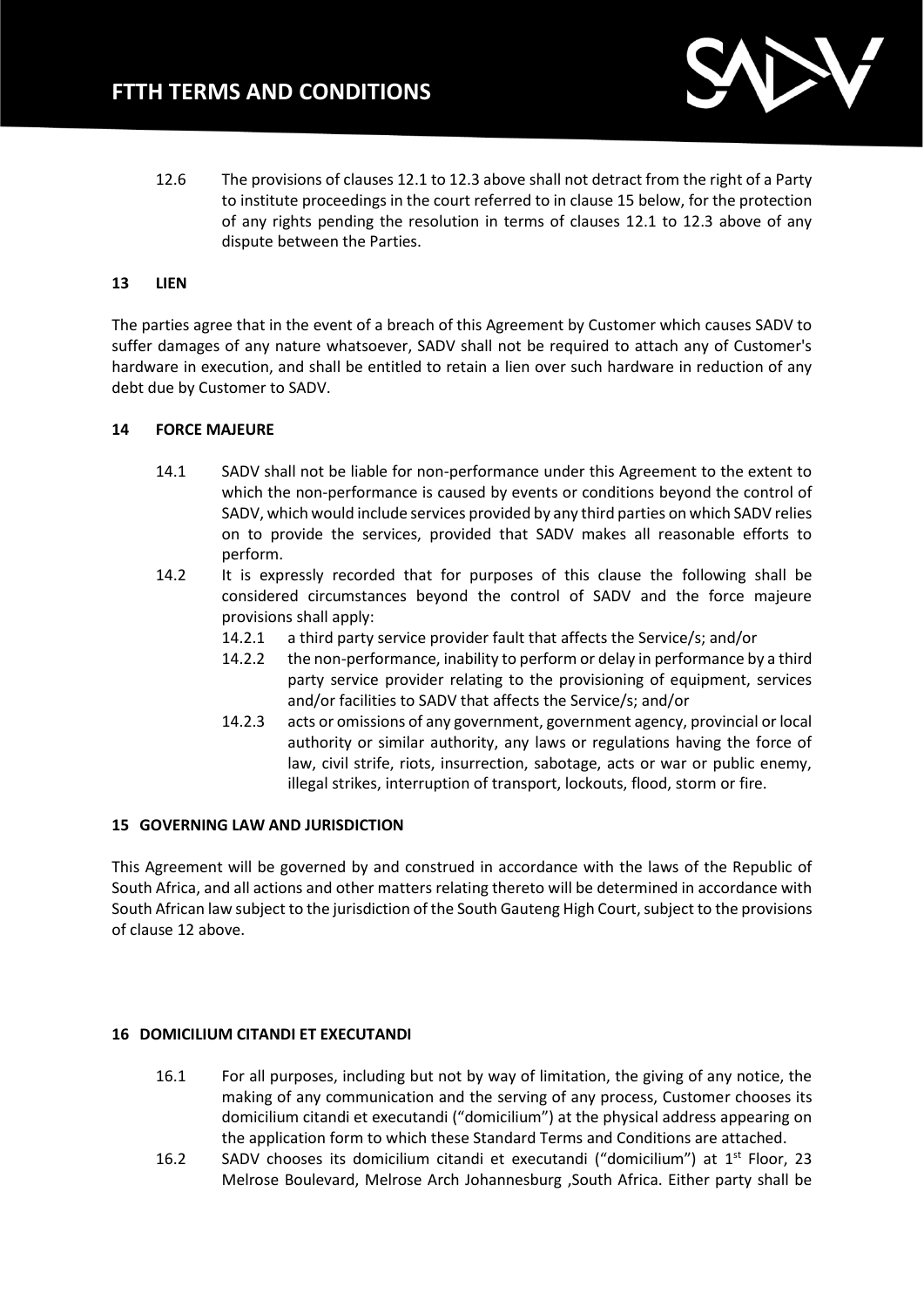

12.6 The provisions of clauses 12.1 to 12.3 above shall not detract from the right of a Party to institute proceedings in the court referred to in clause 15 below, for the protection of any rights pending the resolution in terms of clauses 12.1 to 12.3 above of any dispute between the Parties.

## **13 LIEN**

The parties agree that in the event of a breach of this Agreement by Customer which causes SADV to suffer damages of any nature whatsoever, SADV shall not be required to attach any of Customer's hardware in execution, and shall be entitled to retain a lien over such hardware in reduction of any debt due by Customer to SADV.

## **14 FORCE MAJEURE**

- 14.1 SADV shall not be liable for non-performance under this Agreement to the extent to which the non-performance is caused by events or conditions beyond the control of SADV, which would include services provided by any third parties on which SADV relies on to provide the services, provided that SADV makes all reasonable efforts to perform.
- 14.2 It is expressly recorded that for purposes of this clause the following shall be considered circumstances beyond the control of SADV and the force majeure provisions shall apply:
	- 14.2.1 a third party service provider fault that affects the Service/s; and/or
	- 14.2.2 the non-performance, inability to perform or delay in performance by a third party service provider relating to the provisioning of equipment, services and/or facilities to SADV that affects the Service/s; and/or
	- 14.2.3 acts or omissions of any government, government agency, provincial or local authority or similar authority, any laws or regulations having the force of law, civil strife, riots, insurrection, sabotage, acts or war or public enemy, illegal strikes, interruption of transport, lockouts, flood, storm or fire.

### **15 GOVERNING LAW AND JURISDICTION**

This Agreement will be governed by and construed in accordance with the laws of the Republic of South Africa, and all actions and other matters relating thereto will be determined in accordance with South African law subject to the jurisdiction of the South Gauteng High Court, subject to the provisions of clause 12 above.

#### **16 DOMICILIUM CITANDI ET EXECUTANDI**

- 16.1 For all purposes, including but not by way of limitation, the giving of any notice, the making of any communication and the serving of any process, Customer chooses its domicilium citandi et executandi ("domicilium") at the physical address appearing on the application form to which these Standard Terms and Conditions are attached.
- 16.2 SADV chooses its domicilium citandi et executandi ("domicilium") at  $1<sup>st</sup>$  Floor, 23 Melrose Boulevard, Melrose Arch Johannesburg ,South Africa. Either party shall be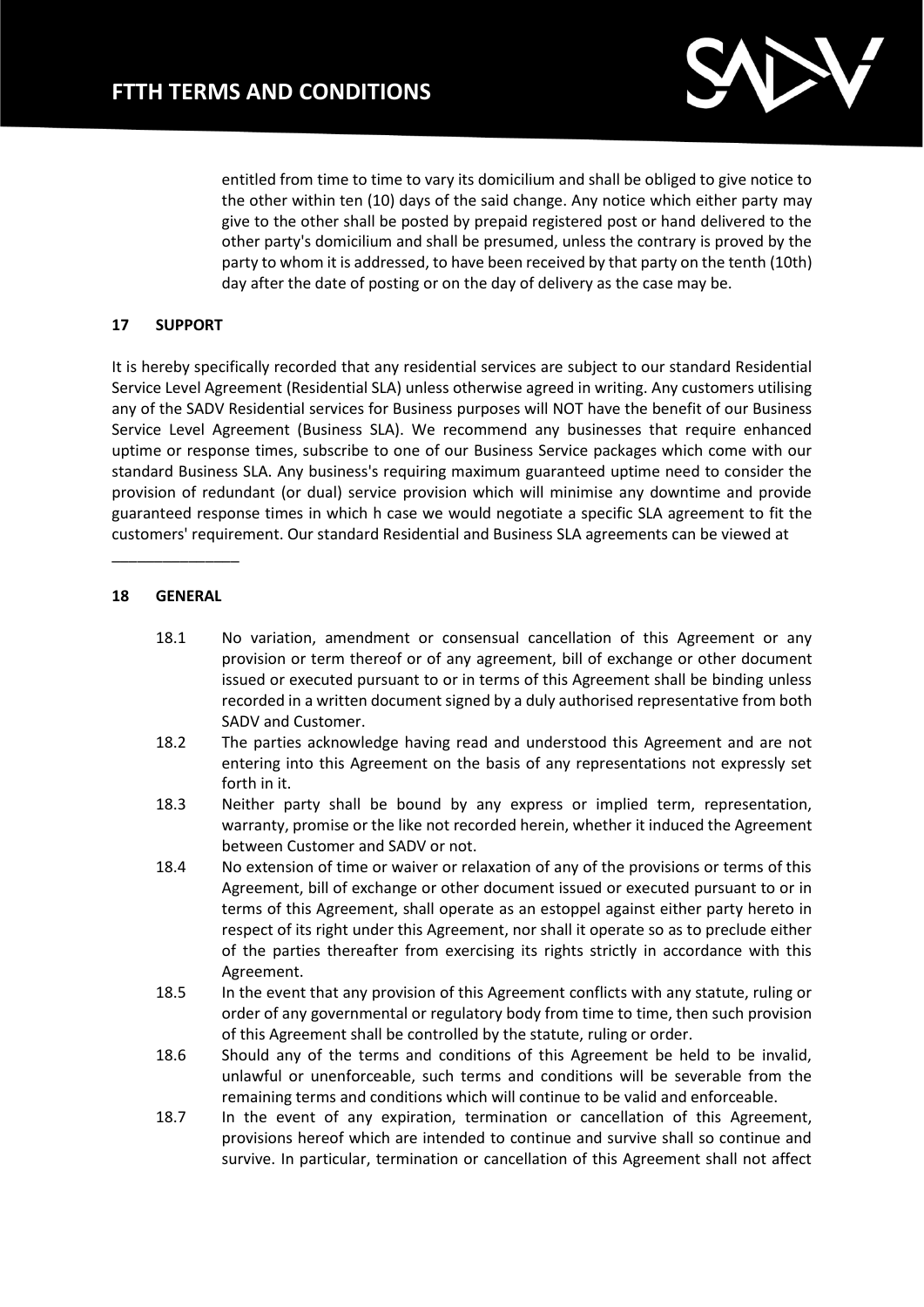

entitled from time to time to vary its domicilium and shall be obliged to give notice to the other within ten (10) days of the said change. Any notice which either party may give to the other shall be posted by prepaid registered post or hand delivered to the other party's domicilium and shall be presumed, unless the contrary is proved by the party to whom it is addressed, to have been received by that party on the tenth (10th) day after the date of posting or on the day of delivery as the case may be.

## **17 SUPPORT**

It is hereby specifically recorded that any residential services are subject to our standard Residential Service Level Agreement (Residential SLA) unless otherwise agreed in writing. Any customers utilising any of the SADV Residential services for Business purposes will NOT have the benefit of our Business Service Level Agreement (Business SLA). We recommend any businesses that require enhanced uptime or response times, subscribe to one of our Business Service packages which come with our standard Business SLA. Any business's requiring maximum guaranteed uptime need to consider the provision of redundant (or dual) service provision which will minimise any downtime and provide guaranteed response times in which h case we would negotiate a specific SLA agreement to fit the customers' requirement. Our standard Residential and Business SLA agreements can be viewed at

#### **18 GENERAL**

\_\_\_\_\_\_\_\_\_\_\_\_\_\_\_

- 18.1 No variation, amendment or consensual cancellation of this Agreement or any provision or term thereof or of any agreement, bill of exchange or other document issued or executed pursuant to or in terms of this Agreement shall be binding unless recorded in a written document signed by a duly authorised representative from both SADV and Customer.
- 18.2 The parties acknowledge having read and understood this Agreement and are not entering into this Agreement on the basis of any representations not expressly set forth in it.
- 18.3 Neither party shall be bound by any express or implied term, representation, warranty, promise or the like not recorded herein, whether it induced the Agreement between Customer and SADV or not.
- 18.4 No extension of time or waiver or relaxation of any of the provisions or terms of this Agreement, bill of exchange or other document issued or executed pursuant to or in terms of this Agreement, shall operate as an estoppel against either party hereto in respect of its right under this Agreement, nor shall it operate so as to preclude either of the parties thereafter from exercising its rights strictly in accordance with this Agreement.
- 18.5 In the event that any provision of this Agreement conflicts with any statute, ruling or order of any governmental or regulatory body from time to time, then such provision of this Agreement shall be controlled by the statute, ruling or order.
- 18.6 Should any of the terms and conditions of this Agreement be held to be invalid, unlawful or unenforceable, such terms and conditions will be severable from the remaining terms and conditions which will continue to be valid and enforceable.
- 18.7 In the event of any expiration, termination or cancellation of this Agreement, provisions hereof which are intended to continue and survive shall so continue and survive. In particular, termination or cancellation of this Agreement shall not affect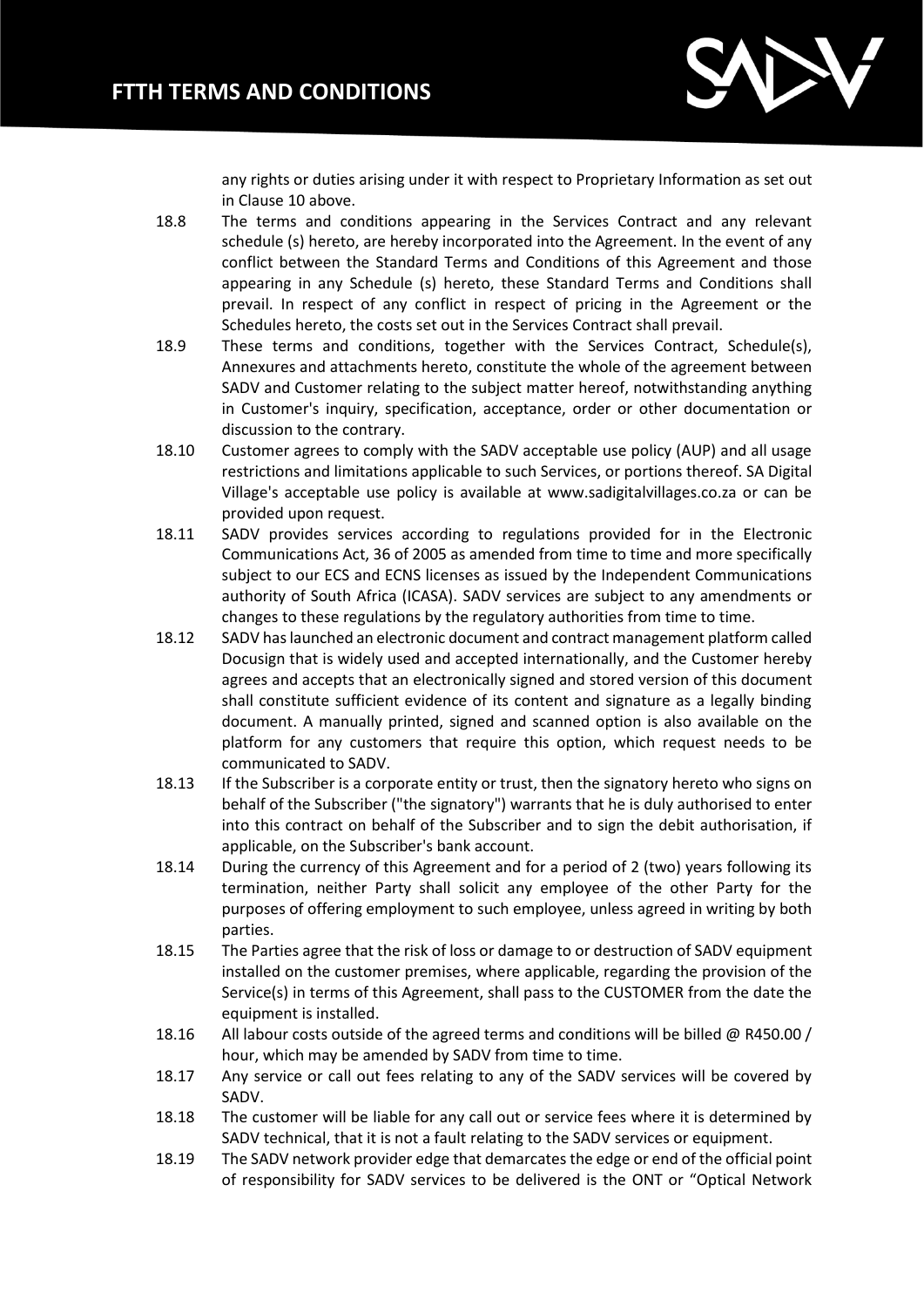

any rights or duties arising under it with respect to Proprietary Information as set out in Clause 10 above.

- 18.8 The terms and conditions appearing in the Services Contract and any relevant schedule (s) hereto, are hereby incorporated into the Agreement. In the event of any conflict between the Standard Terms and Conditions of this Agreement and those appearing in any Schedule (s) hereto, these Standard Terms and Conditions shall prevail. In respect of any conflict in respect of pricing in the Agreement or the Schedules hereto, the costs set out in the Services Contract shall prevail.
- 18.9 These terms and conditions, together with the Services Contract, Schedule(s), Annexures and attachments hereto, constitute the whole of the agreement between SADV and Customer relating to the subject matter hereof, notwithstanding anything in Customer's inquiry, specification, acceptance, order or other documentation or discussion to the contrary.
- 18.10 Customer agrees to comply with the SADV acceptable use policy (AUP) and all usage restrictions and limitations applicable to such Services, or portions thereof. SA Digital Village's acceptable use policy is available at www.sadigitalvillages.co.za or can be provided upon request.
- 18.11 SADV provides services according to regulations provided for in the Electronic Communications Act, 36 of 2005 as amended from time to time and more specifically subject to our ECS and ECNS licenses as issued by the Independent Communications authority of South Africa (ICASA). SADV services are subject to any amendments or changes to these regulations by the regulatory authorities from time to time.
- 18.12 SADV has launched an electronic document and contract management platform called Docusign that is widely used and accepted internationally, and the Customer hereby agrees and accepts that an electronically signed and stored version of this document shall constitute sufficient evidence of its content and signature as a legally binding document. A manually printed, signed and scanned option is also available on the platform for any customers that require this option, which request needs to be communicated to SADV.
- 18.13 If the Subscriber is a corporate entity or trust, then the signatory hereto who signs on behalf of the Subscriber ("the signatory") warrants that he is duly authorised to enter into this contract on behalf of the Subscriber and to sign the debit authorisation, if applicable, on the Subscriber's bank account.
- 18.14 During the currency of this Agreement and for a period of 2 (two) years following its termination, neither Party shall solicit any employee of the other Party for the purposes of offering employment to such employee, unless agreed in writing by both parties.
- 18.15 The Parties agree that the risk of loss or damage to or destruction of SADV equipment installed on the customer premises, where applicable, regarding the provision of the Service(s) in terms of this Agreement, shall pass to the CUSTOMER from the date the equipment is installed.
- 18.16 All labour costs outside of the agreed terms and conditions will be billed @ R450.00 / hour, which may be amended by SADV from time to time.
- 18.17 Any service or call out fees relating to any of the SADV services will be covered by SADV.
- 18.18 The customer will be liable for any call out or service fees where it is determined by SADV technical, that it is not a fault relating to the SADV services or equipment.
- 18.19 The SADV network provider edge that demarcates the edge or end of the official point of responsibility for SADV services to be delivered is the ONT or "Optical Network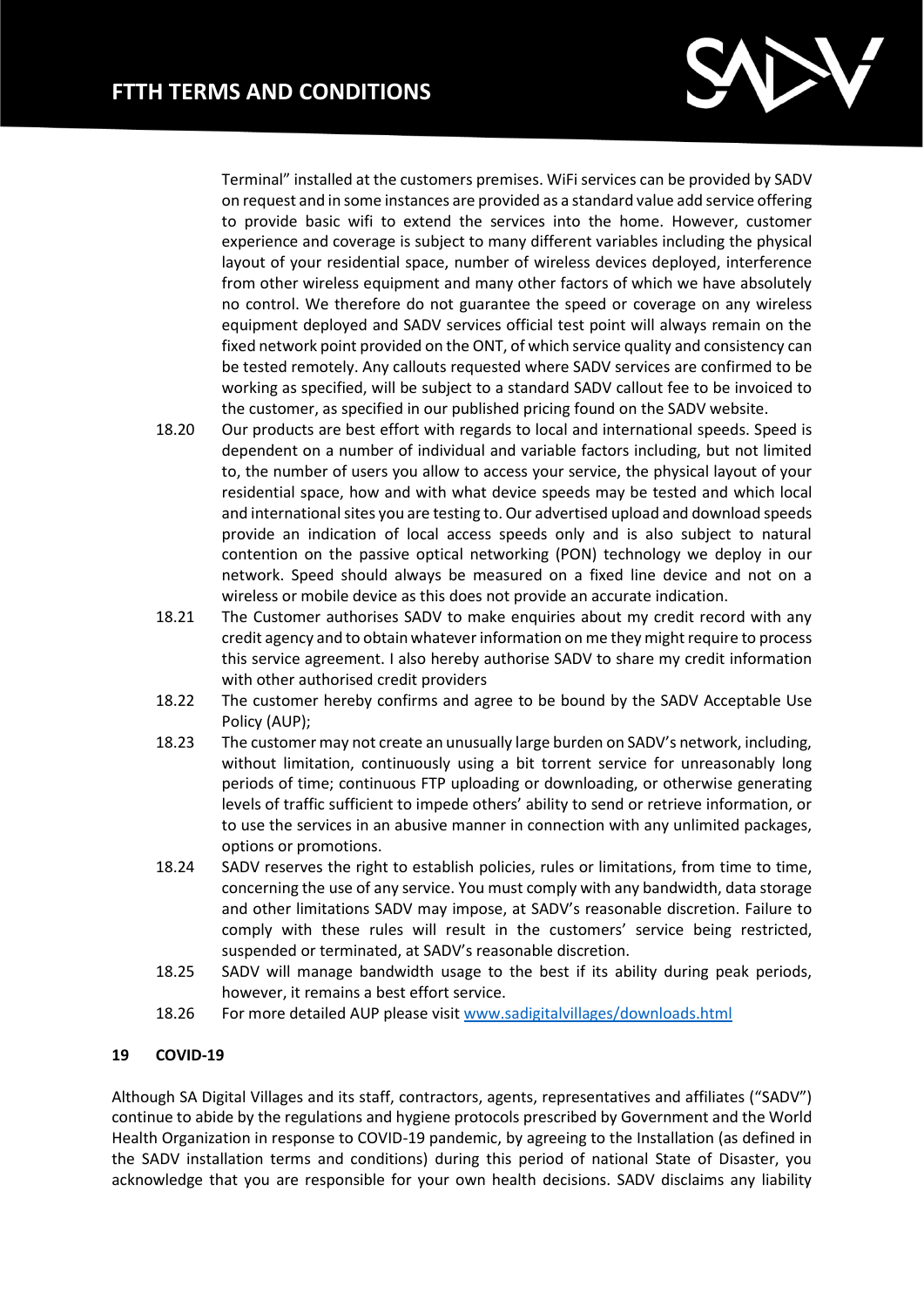

Terminal" installed at the customers premises. WiFi services can be provided by SADV on request and in some instances are provided as a standard value add service offering to provide basic wifi to extend the services into the home. However, customer experience and coverage is subject to many different variables including the physical layout of your residential space, number of wireless devices deployed, interference from other wireless equipment and many other factors of which we have absolutely no control. We therefore do not guarantee the speed or coverage on any wireless equipment deployed and SADV services official test point will always remain on the fixed network point provided on the ONT, of which service quality and consistency can be tested remotely. Any callouts requested where SADV services are confirmed to be working as specified, will be subject to a standard SADV callout fee to be invoiced to the customer, as specified in our published pricing found on the SADV website.

- 18.20 Our products are best effort with regards to local and international speeds. Speed is dependent on a number of individual and variable factors including, but not limited to, the number of users you allow to access your service, the physical layout of your residential space, how and with what device speeds may be tested and which local and international sites you are testing to. Our advertised upload and download speeds provide an indication of local access speeds only and is also subject to natural contention on the passive optical networking (PON) technology we deploy in our network. Speed should always be measured on a fixed line device and not on a wireless or mobile device as this does not provide an accurate indication.
- 18.21 The Customer authorises SADV to make enquiries about my credit record with any credit agency and to obtain whatever information on me they might require to process this service agreement. I also hereby authorise SADV to share my credit information with other authorised credit providers
- 18.22 The customer hereby confirms and agree to be bound by the SADV Acceptable Use Policy (AUP);
- 18.23 The customer may not create an unusually large burden on SADV's network, including, without limitation, continuously using a bit torrent service for unreasonably long periods of time; continuous FTP uploading or downloading, or otherwise generating levels of traffic sufficient to impede others' ability to send or retrieve information, or to use the services in an abusive manner in connection with any unlimited packages, options or promotions.
- 18.24 SADV reserves the right to establish policies, rules or limitations, from time to time, concerning the use of any service. You must comply with any bandwidth, data storage and other limitations SADV may impose, at SADV's reasonable discretion. Failure to comply with these rules will result in the customers' service being restricted, suspended or terminated, at SADV's reasonable discretion.
- 18.25 SADV will manage bandwidth usage to the best if its ability during peak periods, however, it remains a best effort service.
- 18.26 For more detailed AUP please visit [www.sadigitalvillages/downloads.html](http://www.sadigitalvillages/downloads.html)

# **19 COVID-19**

Although SA Digital Villages and its staff, contractors, agents, representatives and affiliates ("SADV") continue to abide by the regulations and hygiene protocols prescribed by Government and the World Health Organization in response to COVID-19 pandemic, by agreeing to the Installation (as defined in the SADV installation terms and conditions) during this period of national State of Disaster, you acknowledge that you are responsible for your own health decisions. SADV disclaims any liability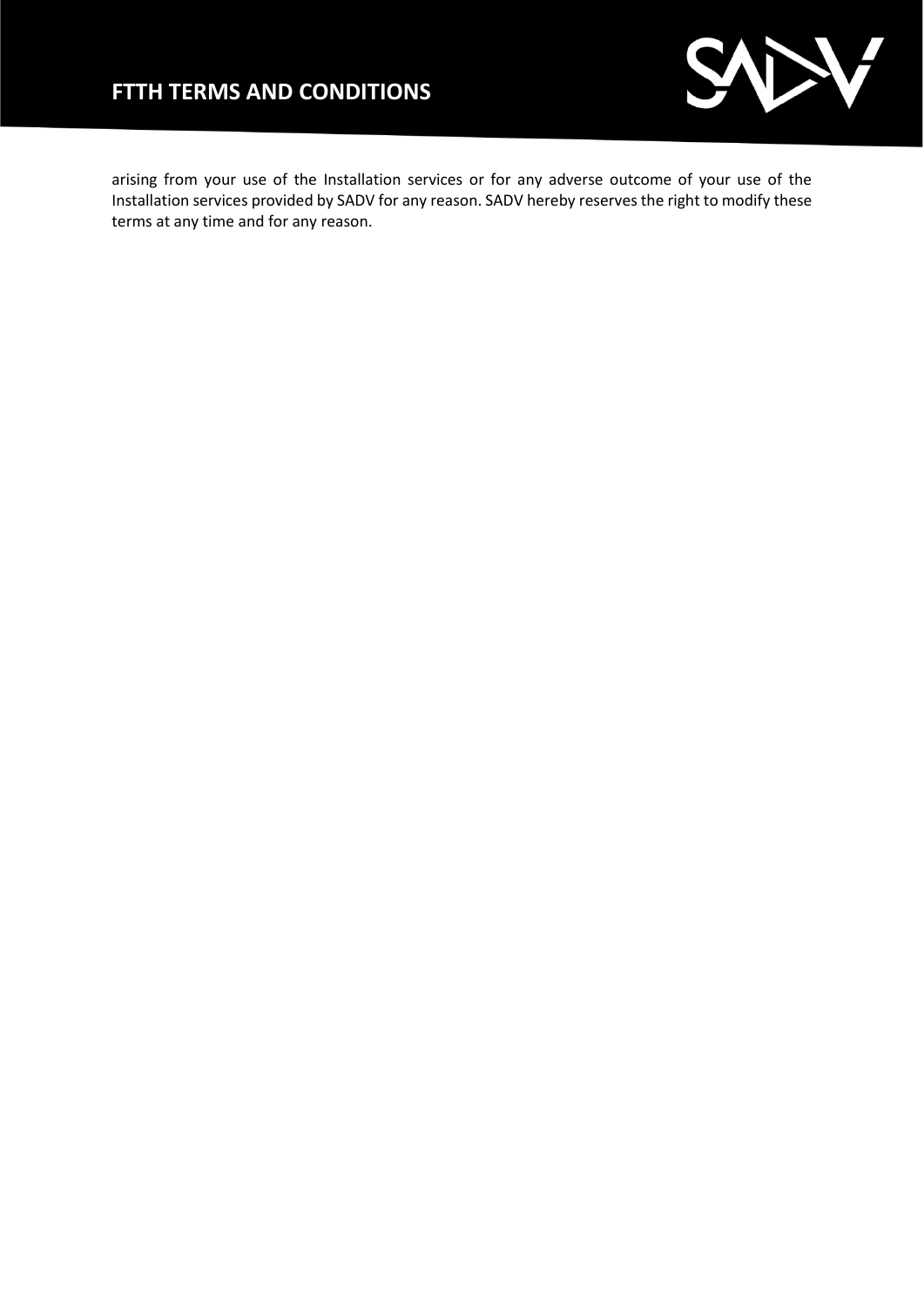# **FTTH TERMS AND CONDITIONS**



arising from your use of the Installation services or for any adverse outcome of your use of the Installation services provided by SADV for any reason. SADV hereby reserves the right to modify these terms at any time and for any reason.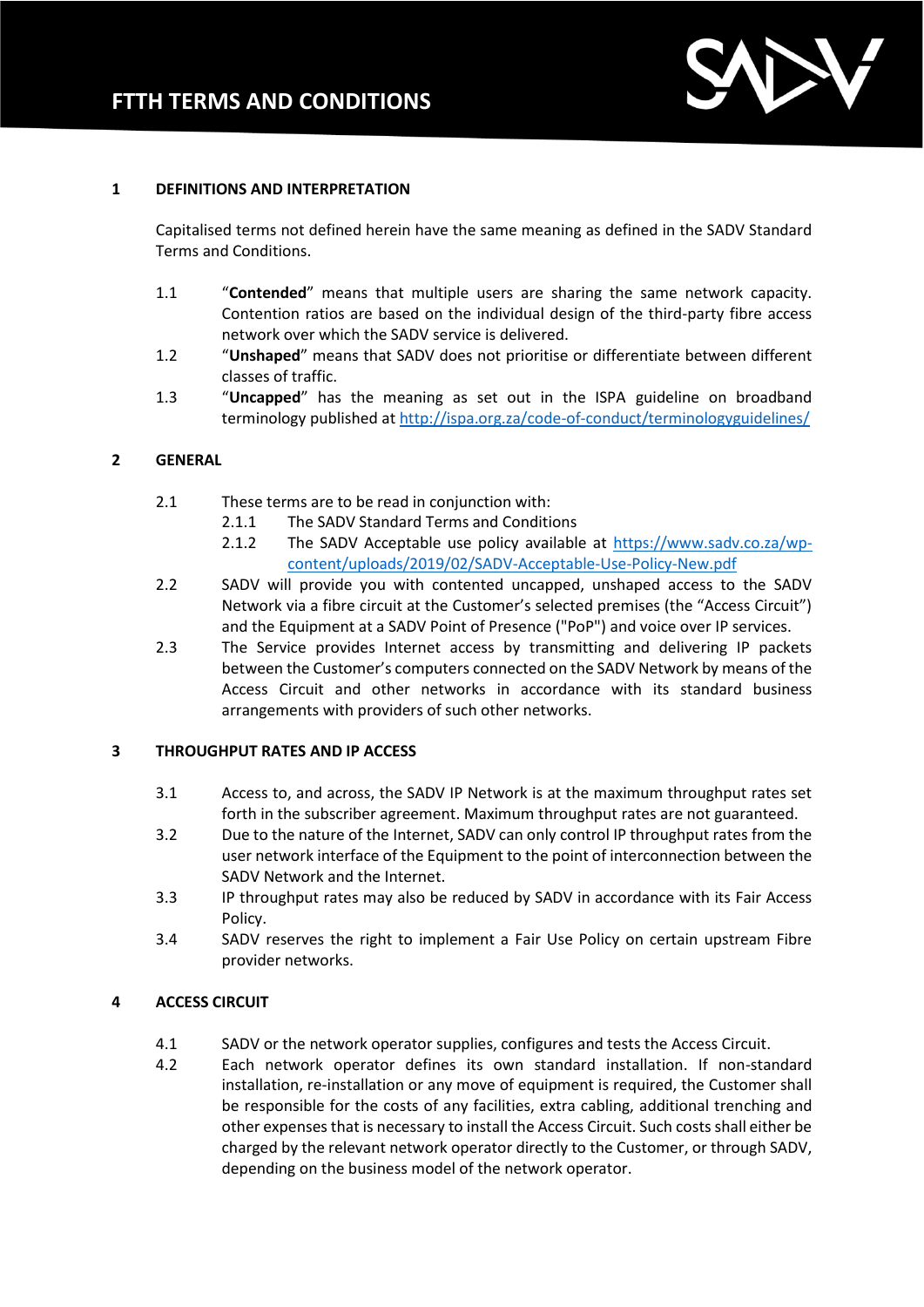

#### **1 DEFINITIONS AND INTERPRETATION**

Capitalised terms not defined herein have the same meaning as defined in the SADV Standard Terms and Conditions.

- 1.1 "**Contended**" means that multiple users are sharing the same network capacity. Contention ratios are based on the individual design of the third-party fibre access network over which the SADV service is delivered.
- 1.2 "**Unshaped**" means that SADV does not prioritise or differentiate between different classes of traffic.
- 1.3 "**Uncapped**" has the meaning as set out in the ISPA guideline on broadband terminology published a[t http://ispa.org.za/code-of-conduct/terminologyguidelines/](http://ispa.org.za/code-of-conduct/terminologyguidelines/)

#### **2 GENERAL**

- 2.1 These terms are to be read in conjunction with:
	- 2.1.1 The SADV Standard Terms and Conditions
	- 2.1.2 The SADV Acceptable use policy available at [https://www.sadv.co.za/wp](https://www.sadv.co.za/wp-content/uploads/2019/02/SADV-Acceptable-Use-Policy-New.pdf)[content/uploads/2019/02/SADV-Acceptable-Use-Policy-New.pdf](https://www.sadv.co.za/wp-content/uploads/2019/02/SADV-Acceptable-Use-Policy-New.pdf)
- 2.2 SADV will provide you with contented uncapped, unshaped access to the SADV Network via a fibre circuit at the Customer's selected premises (the "Access Circuit") and the Equipment at a SADV Point of Presence ("PoP") and voice over IP services.
- 2.3 The Service provides Internet access by transmitting and delivering IP packets between the Customer's computers connected on the SADV Network by means of the Access Circuit and other networks in accordance with its standard business arrangements with providers of such other networks.

#### **3 THROUGHPUT RATES AND IP ACCESS**

- 3.1 Access to, and across, the SADV IP Network is at the maximum throughput rates set forth in the subscriber agreement. Maximum throughput rates are not guaranteed.
- 3.2 Due to the nature of the Internet, SADV can only control IP throughput rates from the user network interface of the Equipment to the point of interconnection between the SADV Network and the Internet.
- 3.3 IP throughput rates may also be reduced by SADV in accordance with its Fair Access Policy.
- 3.4 SADV reserves the right to implement a Fair Use Policy on certain upstream Fibre provider networks.

#### **4 ACCESS CIRCUIT**

- 4.1 SADV or the network operator supplies, configures and tests the Access Circuit.
- 4.2 Each network operator defines its own standard installation. If non-standard installation, re-installation or any move of equipment is required, the Customer shall be responsible for the costs of any facilities, extra cabling, additional trenching and other expenses that is necessary to install the Access Circuit. Such costs shall either be charged by the relevant network operator directly to the Customer, or through SADV, depending on the business model of the network operator.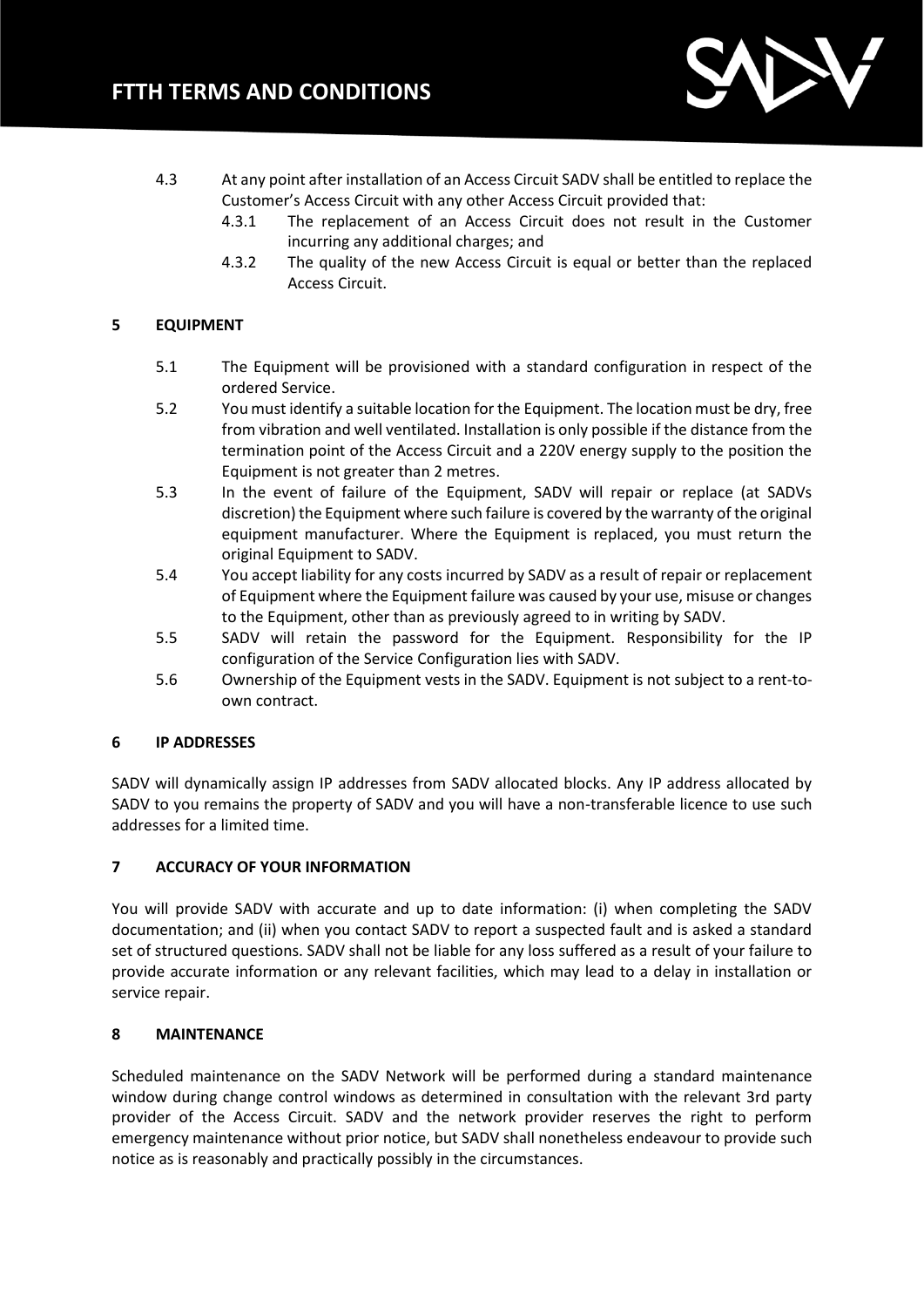

- 4.3 At any point after installation of an Access Circuit SADV shall be entitled to replace the Customer's Access Circuit with any other Access Circuit provided that:
	- 4.3.1 The replacement of an Access Circuit does not result in the Customer incurring any additional charges; and
	- 4.3.2 The quality of the new Access Circuit is equal or better than the replaced Access Circuit.

## **5 EQUIPMENT**

- 5.1 The Equipment will be provisioned with a standard configuration in respect of the ordered Service.
- 5.2 You must identify a suitable location for the Equipment. The location must be dry, free from vibration and well ventilated. Installation is only possible if the distance from the termination point of the Access Circuit and a 220V energy supply to the position the Equipment is not greater than 2 metres.
- 5.3 In the event of failure of the Equipment, SADV will repair or replace (at SADVs discretion) the Equipment where such failure is covered by the warranty of the original equipment manufacturer. Where the Equipment is replaced, you must return the original Equipment to SADV.
- 5.4 You accept liability for any costs incurred by SADV as a result of repair or replacement of Equipment where the Equipment failure was caused by your use, misuse or changes to the Equipment, other than as previously agreed to in writing by SADV.
- 5.5 SADV will retain the password for the Equipment. Responsibility for the IP configuration of the Service Configuration lies with SADV.
- 5.6 Ownership of the Equipment vests in the SADV. Equipment is not subject to a rent-toown contract.

#### **6 IP ADDRESSES**

SADV will dynamically assign IP addresses from SADV allocated blocks. Any IP address allocated by SADV to you remains the property of SADV and you will have a non-transferable licence to use such addresses for a limited time.

# **7 ACCURACY OF YOUR INFORMATION**

You will provide SADV with accurate and up to date information: (i) when completing the SADV documentation; and (ii) when you contact SADV to report a suspected fault and is asked a standard set of structured questions. SADV shall not be liable for any loss suffered as a result of your failure to provide accurate information or any relevant facilities, which may lead to a delay in installation or service repair.

# **8 MAINTENANCE**

Scheduled maintenance on the SADV Network will be performed during a standard maintenance window during change control windows as determined in consultation with the relevant 3rd party provider of the Access Circuit. SADV and the network provider reserves the right to perform emergency maintenance without prior notice, but SADV shall nonetheless endeavour to provide such notice as is reasonably and practically possibly in the circumstances.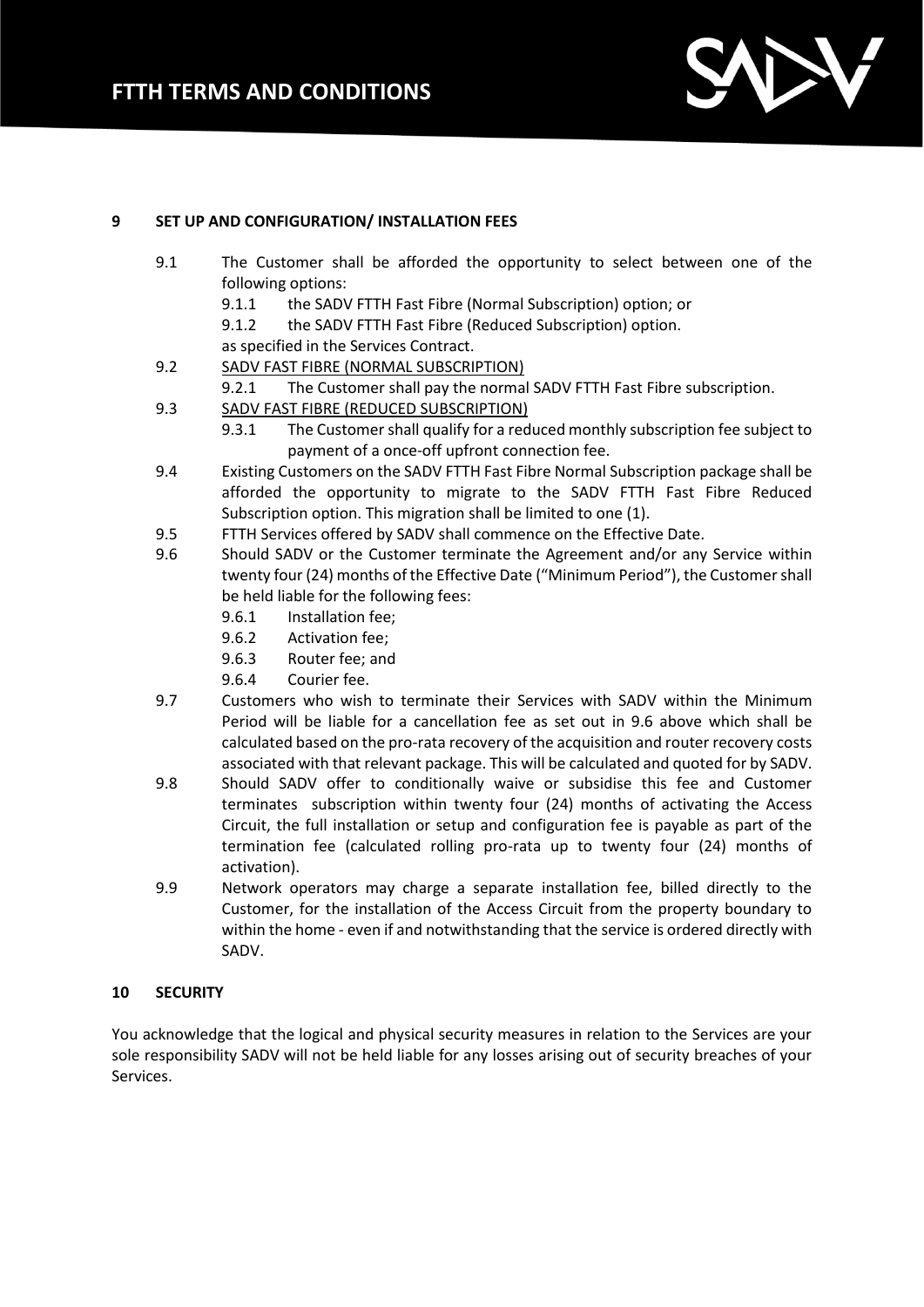

## **9 SET UP AND CONFIGURATION/ INSTALLATION FEES**

- 9.1 The Customer shall be afforded the opportunity to select between one of the following options:
	- 9.1.1 the SADV FTTH Fast Fibre (Normal Subscription) option; or
	- 9.1.2 the SADV FTTH Fast Fibre (Reduced Subscription) option.
	- as specified in the Services Contract.
- 9.2 SADV FAST FIBRE (NORMAL SUBSCRIPTION)
	- 9.2.1 The Customer shall pay the normal SADV FTTH Fast Fibre subscription.
- 9.3 SADV FAST FIBRE (REDUCED SUBSCRIPTION)
	- 9.3.1 The Customer shall qualify for a reduced monthly subscription fee subject to payment of a once-off upfront connection fee.
- 9.4 Existing Customers on the SADV FTTH Fast Fibre Normal Subscription package shall be afforded the opportunity to migrate to the SADV FTTH Fast Fibre Reduced Subscription option. This migration shall be limited to one (1).
- 9.5 FTTH Services offered by SADV shall commence on the Effective Date.
- 9.6 Should SADV or the Customer terminate the Agreement and/or any Service within twenty four (24) months of the Effective Date ("Minimum Period"), the Customer shall be held liable for the following fees:
	- 9.6.1 Installation fee;
	- 9.6.2 Activation fee;
	- 9.6.3 Router fee; and
	- 9.6.4 Courier fee.
- 9.7 Customers who wish to terminate their Services with SADV within the Minimum Period will be liable for a cancellation fee as set out in 9.6 above which shall be calculated based on the pro-rata recovery of the acquisition and router recovery costs associated with that relevant package. This will be calculated and quoted for by SADV.
- 9.8 Should SADV offer to conditionally waive or subsidise this fee and Customer terminates subscription within twenty four (24) months of activating the Access Circuit, the full installation or setup and configuration fee is payable as part of the termination fee (calculated rolling pro-rata up to twenty four (24) months of activation).
- 9.9 Network operators may charge a separate installation fee, billed directly to the Customer, for the installation of the Access Circuit from the property boundary to within the home - even if and notwithstanding that the service is ordered directly with SADV.

#### **10 SECURITY**

You acknowledge that the logical and physical security measures in relation to the Services are your sole responsibility SADV will not be held liable for any losses arising out of security breaches of your Services.